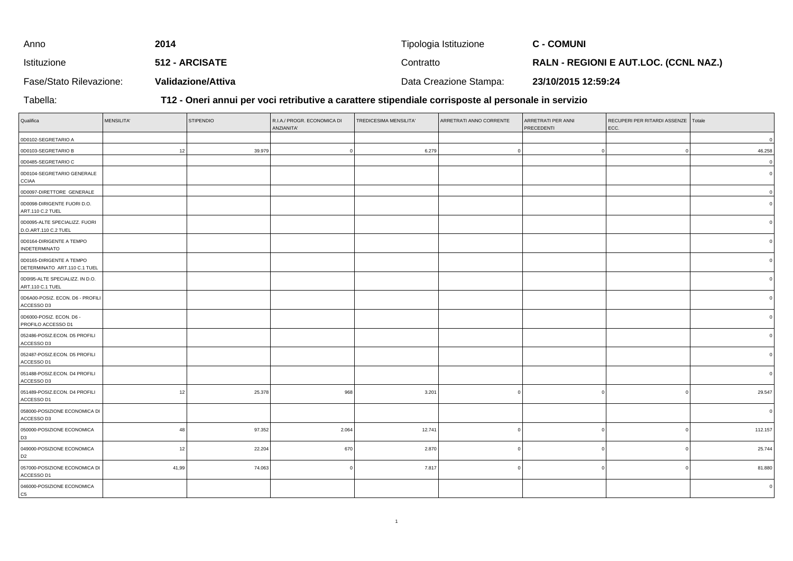| Anno                    | 2014                      | Tipologia Istituzione  | <b>C - COMUNI</b>                            |
|-------------------------|---------------------------|------------------------|----------------------------------------------|
| Istituzione             | <b>512 - ARCISATE</b>     | Contratto              | <b>RALN - REGIONI E AUT.LOC. (CCNL NAZ.)</b> |
| Fase/Stato Rilevazione: | <b>Validazione/Attiva</b> | Data Creazione Stampa: | 23/10/2015 12:59:24                          |

Tabella:

**T12 - Oneri annui per voci retributive a carattere stipendiale corrisposte al personale in servizio**

| Qualifica                                                | <b>MENSILITA'</b> | <b>STIPENDIO</b> | R.I.A./ PROGR. ECONOMICA DI<br>ANZIANITA' | TREDICESIMA MENSILITA' | ARRETRATI ANNO CORRENTE | ARRETRATI PER ANNI<br>PRECEDENTI | RECUPERI PER RITARDI ASSENZE Totale<br>ECC. |                |
|----------------------------------------------------------|-------------------|------------------|-------------------------------------------|------------------------|-------------------------|----------------------------------|---------------------------------------------|----------------|
| 0D0102-SEGRETARIO A                                      |                   |                  |                                           |                        |                         |                                  |                                             | $\circ$        |
| 0D0103-SEGRETARIO B                                      | 12                | 39.979           |                                           | 6.279                  |                         |                                  |                                             | 46.258         |
| 0D0485-SEGRETARIO C                                      |                   |                  |                                           |                        |                         |                                  |                                             | $\circ$        |
| 0D0104-SEGRETARIO GENERALE<br>CCIAA                      |                   |                  |                                           |                        |                         |                                  |                                             | 0              |
| 0D0097-DIRETTORE GENERALE                                |                   |                  |                                           |                        |                         |                                  |                                             | $\circ$        |
| 0D0098-DIRIGENTE FUORI D.O.<br>ART.110 C.2 TUEL          |                   |                  |                                           |                        |                         |                                  |                                             | $\Omega$       |
| 0D0095-ALTE SPECIALIZZ. FUORI<br>D.O.ART.110 C.2 TUEL    |                   |                  |                                           |                        |                         |                                  |                                             | $\circ$ l      |
| 0D0164-DIRIGENTE A TEMPO<br><b>INDETERMINATO</b>         |                   |                  |                                           |                        |                         |                                  |                                             |                |
| 0D0165-DIRIGENTE A TEMPO<br>DETERMINATO ART.110 C.1 TUEL |                   |                  |                                           |                        |                         |                                  |                                             |                |
| 0D0I95-ALTE SPECIALIZZ. IN D.O.<br>ART.110 C.1 TUEL      |                   |                  |                                           |                        |                         |                                  |                                             | $\circ$ l      |
| 0D6A00-POSIZ. ECON. D6 - PROFILI<br>ACCESSO D3           |                   |                  |                                           |                        |                         |                                  |                                             |                |
| 0D6000-POSIZ. ECON. D6 -<br>PROFILO ACCESSO D1           |                   |                  |                                           |                        |                         |                                  |                                             |                |
| 052486-POSIZ.ECON. D5 PROFILI<br>ACCESSO D3              |                   |                  |                                           |                        |                         |                                  |                                             | 0 l            |
| 052487-POSIZ.ECON. D5 PROFILI<br>ACCESSO D1              |                   |                  |                                           |                        |                         |                                  |                                             | ΩI             |
| 051488-POSIZ.ECON. D4 PROFILI<br>ACCESSO D3              |                   |                  |                                           |                        |                         |                                  |                                             |                |
| 051489-POSIZ.ECON. D4 PROFILI<br>ACCESSO D1              | 12                | 25.378           | 968                                       | 3.201                  |                         |                                  |                                             | 29.547         |
| 058000-POSIZIONE ECONOMICA DI<br>ACCESSO D3              |                   |                  |                                           |                        |                         |                                  |                                             | $\circ$        |
| 050000-POSIZIONE ECONOMICA<br>D <sub>3</sub>             | 48                | 97.352           | 2.064                                     | 12.741                 |                         | - C                              | $\Omega$                                    | 112.157        |
| 049000-POSIZIONE ECONOMICA<br>D <sub>2</sub>             | 12                | 22.204           | 670                                       | 2.870                  |                         |                                  | $\Omega$                                    | 25.744         |
| 057000-POSIZIONE ECONOMICA DI<br>ACCESSO D1              | 41,99             | 74.063           |                                           | 7.817                  |                         |                                  | $\Omega$                                    | 81.880         |
| 046000-POSIZIONE ECONOMICA<br>C <sub>5</sub>             |                   |                  |                                           |                        |                         |                                  |                                             | $\overline{0}$ |